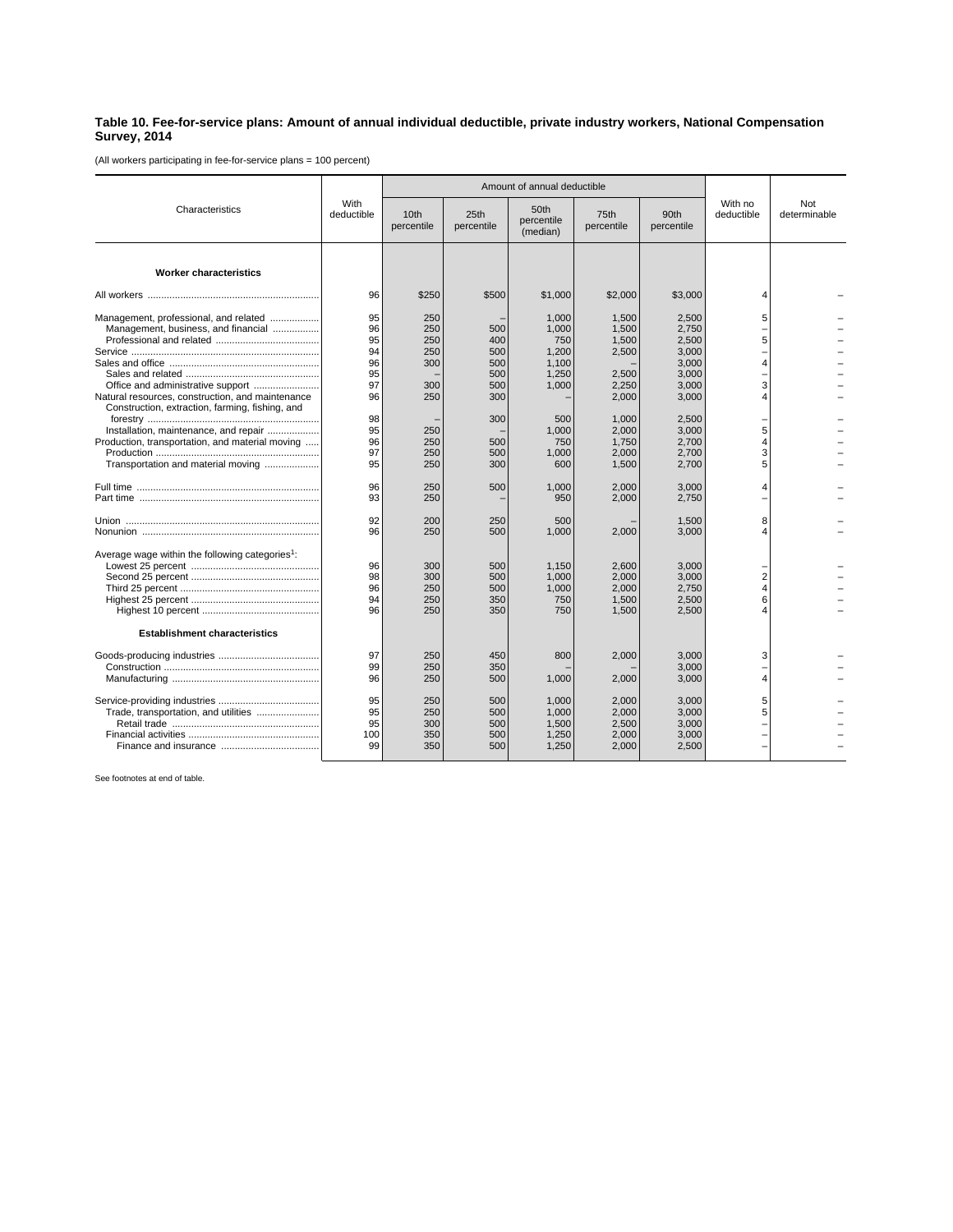## **Table 10. Fee-for-service plans: Amount of annual individual deductible, private industry workers, National Compensation Survey, 2014**

(All workers participating in fee-for-service plans = 100 percent)

| Characteristics                                                                                                                | With<br>deductible               |                                 | Amount of annual deductible     |                                                  |                                           |                                                    |                               |                     |
|--------------------------------------------------------------------------------------------------------------------------------|----------------------------------|---------------------------------|---------------------------------|--------------------------------------------------|-------------------------------------------|----------------------------------------------------|-------------------------------|---------------------|
|                                                                                                                                |                                  | 10 <sub>th</sub><br>percentile  | 25th<br>percentile              | 50th<br>percentile<br>(median)                   | 75th<br>percentile                        | 90th<br>percentile                                 | With no<br>deductible         | Not<br>determinable |
| <b>Worker characteristics</b>                                                                                                  |                                  |                                 |                                 |                                                  |                                           |                                                    |                               |                     |
|                                                                                                                                | 96                               | \$250                           | \$500                           | \$1,000                                          | \$2,000                                   | \$3,000                                            | 4                             |                     |
| Management, professional, and related<br>Management, business, and financial                                                   | 95<br>96<br>95<br>94<br>96<br>95 | 250<br>250<br>250<br>250<br>300 | 500<br>400<br>500<br>500<br>500 | 1,000<br>1,000<br>750<br>1.200<br>1,100<br>1,250 | 1,500<br>1,500<br>1,500<br>2,500<br>2,500 | 2,500<br>2,750<br>2,500<br>3.000<br>3,000<br>3,000 | 5<br>5<br>4                   |                     |
| Natural resources, construction, and maintenance<br>Construction, extraction, farming, fishing, and                            | 97<br>96                         | 300<br>250                      | 500<br>300                      | 1,000                                            | 2,250<br>2,000                            | 3,000<br>3,000                                     | 3<br>4                        |                     |
| Installation, maintenance, and repair<br>Production, transportation, and material moving<br>Transportation and material moving | 98<br>95<br>96<br>97<br>95       | 250<br>250<br>250<br>250        | 300<br>500<br>500<br>300        | 500<br>1,000<br>750<br>1.000<br>600              | 1,000<br>2,000<br>1,750<br>2.000<br>1,500 | 2,500<br>3,000<br>2,700<br>2.700<br>2,700          | 5<br>4<br>3<br>5              |                     |
|                                                                                                                                | 96<br>93                         | 250<br>250                      | 500                             | 1,000<br>950                                     | 2,000<br>2,000                            | 3,000<br>2,750                                     | 4                             |                     |
|                                                                                                                                | 92<br>96                         | 200<br>250                      | 250<br>500                      | 500<br>1,000                                     | 2,000                                     | 1,500<br>3,000                                     | 8<br>4                        |                     |
| Average wage within the following categories <sup>1</sup> :                                                                    | 96<br>98<br>96<br>94<br>96       | 300<br>300<br>250<br>250<br>250 | 500<br>500<br>500<br>350<br>350 | 1.150<br>1,000<br>1,000<br>750<br>750            | 2.600<br>2,000<br>2,000<br>1,500<br>1,500 | 3.000<br>3,000<br>2,750<br>2,500<br>2.500          | $\overline{2}$<br>4<br>6<br>4 |                     |
| <b>Establishment characteristics</b>                                                                                           |                                  |                                 |                                 |                                                  |                                           |                                                    |                               |                     |
|                                                                                                                                | 97<br>99<br>96                   | 250<br>250<br>250               | 450<br>350<br>500               | 800<br>1,000                                     | 2,000<br>2,000                            | 3.000<br>3.000<br>3,000                            | 3<br>4                        |                     |
| Trade, transportation, and utilities                                                                                           | 95<br>95<br>95<br>100<br>99      | 250<br>250<br>300<br>350<br>350 | 500<br>500<br>500<br>500<br>500 | 1,000<br>1,000<br>1,500<br>1,250<br>1,250        | 2,000<br>2,000<br>2,500<br>2.000<br>2,000 | 3,000<br>3,000<br>3.000<br>3.000<br>2,500          | 5<br>5                        |                     |

See footnotes at end of table.